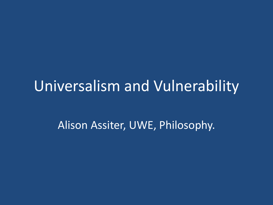## Universalism and Vulnerability

Alison Assiter, UWE, Philosophy.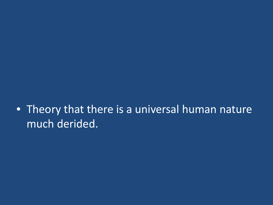## • Theory that there is a universal human nature much derided.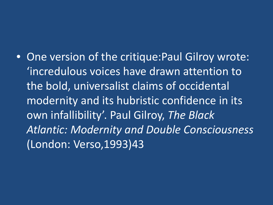• One version of the critique:Paul Gilroy wrote: 'incredulous voices have drawn attention to the bold, universalist claims of occidental modernity and its hubristic confidence in its own infallibility'. Paul Gilroy, *The Black Atlantic: Modernity and Double Consciousness* (London: Verso,1993)43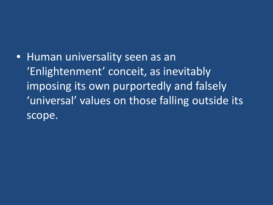• Human universality seen as an 'Enlightenment' conceit, as inevitably imposing its own purportedly and falsely 'universal' values on those falling outside its scope.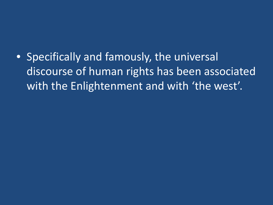• Specifically and famously, the universal discourse of human rights has been associated with the Enlightenment and with 'the west'.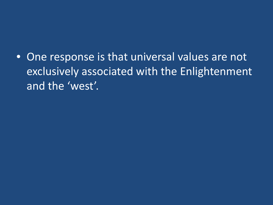• One response is that universal values are not exclusively associated with the Enlightenment and the 'west'.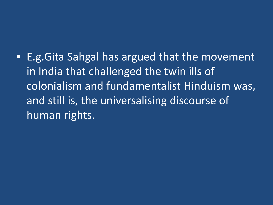• E.g.Gita Sahgal has argued that the movement in India that challenged the twin ills of colonialism and fundamentalist Hinduism was, and still is, the universalising discourse of human rights.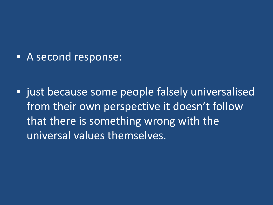• A second response:

• just because some people falsely universalised from their own perspective it doesn't follow that there is something wrong with the universal values themselves.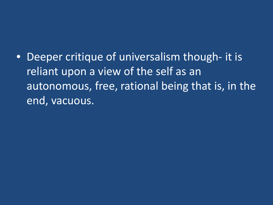• Deeper critique of universalism though- it is reliant upon a view of the self as an autonomous, free, rational being that is, in the end, vacuous.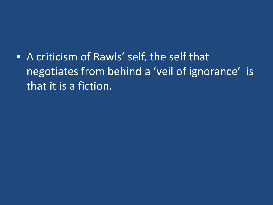• A criticism of Rawls' self, the self that negotiates from behind a 'veil of ignorance' is that it is a fiction.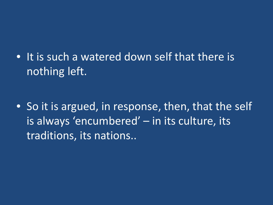• It is such a watered down self that there is nothing left.

• So it is argued, in response, then, that the self is always 'encumbered' – in its culture, its traditions, its nations..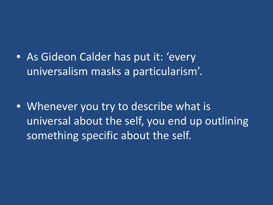• As Gideon Calder has put it: 'every' universalism masks a particularism'.

• Whenever you try to describe what is universal about the self, you end up outlining something specific about the self.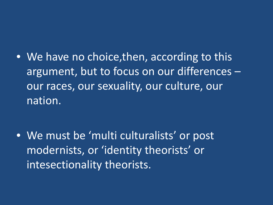• We have no choice, then, according to this argument, but to focus on our differences – our races, our sexuality, our culture, our nation.

• We must be 'multi culturalists' or post modernists, or 'identity theorists' or intesectionality theorists.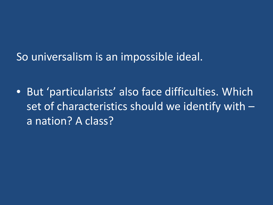So universalism is an impossible ideal.

• But 'particularists' also face difficulties. Which set of characteristics should we identify with – a nation? A class?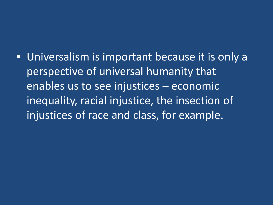• Universalism is important because it is only a perspective of universal humanity that enables us to see injustices – economic inequality, racial injustice, the insection of injustices of race and class, for example.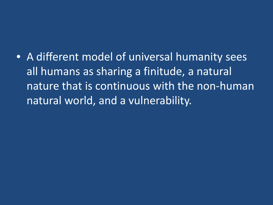• A different model of universal humanity sees all humans as sharing a finitude, a natural nature that is continuous with the non-human natural world, and a vulnerability.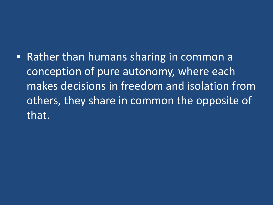• Rather than humans sharing in common a conception of pure autonomy, where each makes decisions in freedom and isolation from others, they share in common the opposite of that.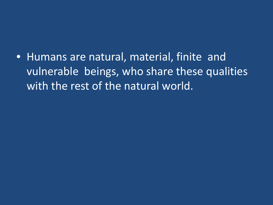• Humans are natural, material, finite and vulnerable beings, who share these qualities with the rest of the natural world.